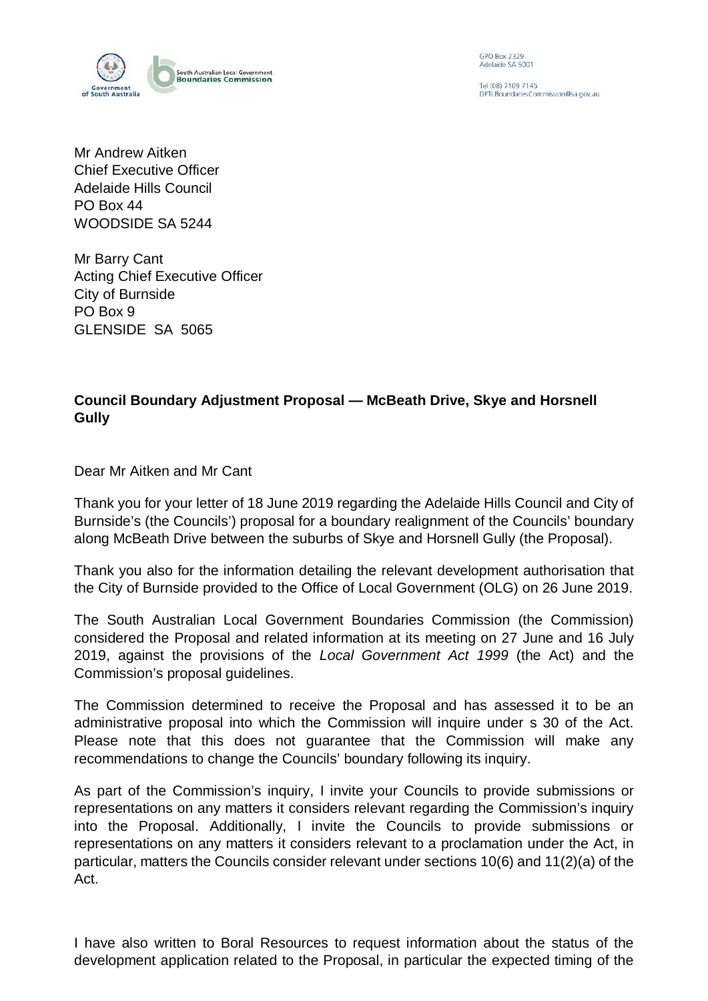

GPO Box 2329<br>Adelaide SA 5001

Tel (08) 7109 7145 DPTLBoundariesCommission@sa.gov.au

Mr Andrew Aitken Chief Executive Officer Adelaide Hills Council PO Box 44 WOODSIDE SA 5244

Mr Barry Cant Acting Chief Executive Officer City of Burnside PO Box 9 GLENSIDE SA 5065

## **Council Boundary Adjustment Proposal — McBeath Drive, Skye and Horsnell Gully**

Dear Mr Aitken and Mr Cant

Thank you for your letter of 18 June 2019 regarding the Adelaide Hills Council and City of Burnside's (the Councils') proposal for a boundary realignment of the Councils' boundary along McBeath Drive between the suburbs of Skye and Horsnell Gully (the Proposal).

Thank you also for the information detailing the relevant development authorisation that the City of Burnside provided to the Office of Local Government (OLG) on 26 June 2019.

The South Australian Local Government Boundaries Commission (the Commission) considered the Proposal and related information at its meeting on 27 June and 16 July 2019, against the provisions of the *Local Government Act 1999* (the Act) and the Commission's proposal guidelines.

The Commission determined to receive the Proposal and has assessed it to be an administrative proposal into which the Commission will inquire under s 30 of the Act. Please note that this does not guarantee that the Commission will make any recommendations to change the Councils' boundary following its inquiry.

As part of the Commission's inquiry, I invite your Councils to provide submissions or representations on any matters it considers relevant regarding the Commission's inquiry into the Proposal. Additionally, I invite the Councils to provide submissions or representations on any matters it considers relevant to a proclamation under the Act, in particular, matters the Councils consider relevant under sections 10(6) and 11(2)(a) of the Act.

I have also written to Boral Resources to request information about the status of the development application related to the Proposal, in particular the expected timing of the